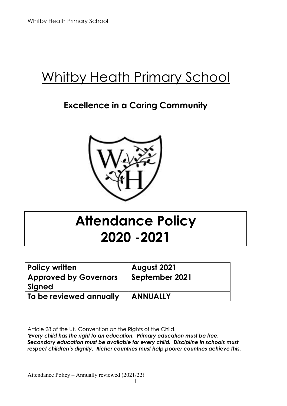# Whitby Heath Primary School

# **Excellence in a Caring Community**



# **Attendance Policy 2020 -2021**

| <b>Policy written</b>        | <b>August 2021</b> |
|------------------------------|--------------------|
| <b>Approved by Governors</b> | September 2021     |
| Signed                       |                    |
| To be reviewed annually      | <b>ANNUALLY</b>    |

Article 28 of the UN Convention on the Rights of the Child.

*'Every child has the right to an education. Primary education must be free. Secondary education must be available for every child. Discipline in schools must respect children's dignity. Richer countries must help poorer countries achieve this.*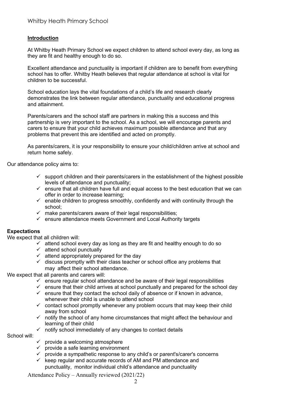#### **Introduction**

At Whitby Heath Primary School we expect children to attend school every day, as long as they are fit and healthy enough to do so.

Excellent attendance and punctuality is important if children are to benefit from everything school has to offer. Whitby Heath believes that regular attendance at school is vital for children to be successful.

School education lays the vital foundations of a child's life and research clearly demonstrates the link between regular attendance, punctuality and educational progress and attainment.

Parents/carers and the school staff are partners in making this a success and this partnership is very important to the school. As a school, we will encourage parents and carers to ensure that your child achieves maximum possible attendance and that any problems that prevent this are identified and acted on promptly.

As parents/carers, it is your responsibility to ensure your child/children arrive at school and return home safely.

Our attendance policy aims to:

- $\checkmark$  support children and their parents/carers in the establishment of the highest possible levels of attendance and punctuality;
- $\checkmark$  ensure that all children have full and equal access to the best education that we can offer in order to increase learning;
- $\checkmark$  enable children to progress smoothly, confidently and with continuity through the school;
- $\checkmark$  make parents/carers aware of their legal responsibilities;
- $\checkmark$  ensure attendance meets Government and Local Authority targets

#### **Expectations**

We expect that all children will:

- $\checkmark$  attend school every day as long as they are fit and healthy enough to do so
- $\checkmark$  attend school punctually
- $\checkmark$  attend appropriately prepared for the day
- $\checkmark$  discuss promptly with their class teacher or school office any problems that may affect their school attendance.

We expect that all parents and carers will:

- $\checkmark$  ensure regular school attendance and be aware of their legal responsibilities
- $\checkmark$  ensure that their child arrives at school punctually and prepared for the school day
- $\checkmark$  ensure that they contact the school daily of absence or if known in advance, whenever their child is unable to attend school
- $\checkmark$  contact school promptly whenever any problem occurs that may keep their child away from school
- $\checkmark$  notify the school of any home circumstances that might affect the behaviour and learning of their child
- $\checkmark$  notify school immediately of any changes to contact details

# School will:

- $\checkmark$  provide a welcoming atmosphere
- $\checkmark$  provide a safe learning environment
- $\checkmark$  provide a sympathetic response to any child's or parent's/carer's concerns
- $\checkmark$  keep regular and accurate records of AM and PM attendance and punctuality, monitor individual child's attendance and punctuality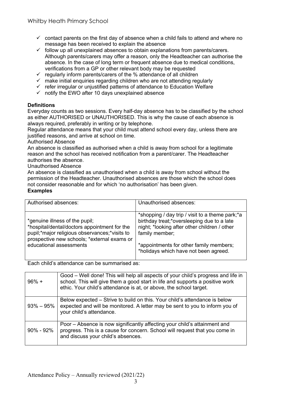- $\checkmark$  contact parents on the first day of absence when a child fails to attend and where no message has been received to explain the absence
- $\checkmark$  follow up all unexplained absences to obtain explanations from parents/carers. Although parents/carers may offer a reason, only the Headteacher can authorise the absence. In the case of long term or frequent absence due to medical conditions, verifications from a GP or other relevant body may be requested
- $\checkmark$  regularly inform parents/carers of the % attendance of all children
- $\checkmark$  make initial enquiries regarding children who are not attending regularly
- $\checkmark$  refer irregular or unjustified patterns of attendance to Education Welfare
- $\checkmark$  notify the EWO after 10 days unexplained absence

# **Definitions**

Everyday counts as two sessions. Every half-day absence has to be classified by the school as either AUTHORISED or UNAUTHORISED. This is why the cause of each absence is always required, preferably in writing or by telephone.

Regular attendance means that your child must attend school every day, unless there are justified reasons, and arrive at school on time.

Authorised Absence

An absence is classified as authorised when a child is away from school for a legitimate reason and the school has received notification from a parent/carer. The Headteacher authorises the absence.

Unauthorised Absence

An absence is classified as unauthorised when a child is away from school without the permission of the Headteacher. Unauthorised absences are those which the school does not consider reasonable and for which 'no authorisation' has been given. **Examples** 

| Authorised absences:                                                                                                                                                                                      | Unauthorised absences:                                                                                                                                                                                                                               |
|-----------------------------------------------------------------------------------------------------------------------------------------------------------------------------------------------------------|------------------------------------------------------------------------------------------------------------------------------------------------------------------------------------------------------------------------------------------------------|
| *genuine illness of the pupil;<br>*hospital/dental/doctors appointment for the<br>pupil;*major religious observances;*visits to<br>prospective new schools; *external exams or<br>educational assessments | *shopping / day trip / visit to a theme park; *a<br>birthday treat;*oversleeping due to a late<br>night; *looking after other children / other<br>family member;<br>*appointments for other family members;<br>*holidays which have not been agreed. |

Each child's attendance can be summarised as:

| $96\% +$        | Good - Well done! This will help all aspects of your child's progress and life in<br>school. This will give them a good start in life and supports a positive work<br>ethic. Your child's attendance is at, or above, the school target. |
|-----------------|------------------------------------------------------------------------------------------------------------------------------------------------------------------------------------------------------------------------------------------|
| $93\% - 95\%$   | Below expected – Strive to build on this. Your child's attendance is below<br>expected and will be monitored. A letter may be sent to you to inform you of<br>your child's attendance.                                                   |
| $90\%$ - $92\%$ | Poor – Absence is now significantly affecting your child's attainment and<br>progress. This is a cause for concern. School will request that you come in<br>and discuss your child's absences.                                           |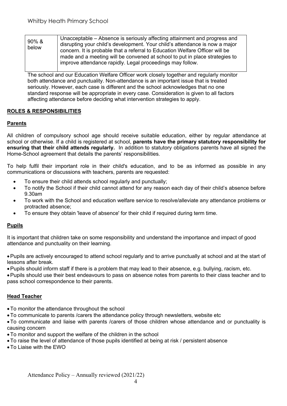| $90\%$ &<br>below | Unacceptable – Absence is seriously affecting attainment and progress and<br>disrupting your child's development. Your child's attendance is now a major<br>concern. It is probable that a referral to Education Welfare Officer will be<br>made and a meeting will be convened at school to put in place strategies to<br>improve attendance rapidly. Legal proceedings may follow. |
|-------------------|--------------------------------------------------------------------------------------------------------------------------------------------------------------------------------------------------------------------------------------------------------------------------------------------------------------------------------------------------------------------------------------|
|-------------------|--------------------------------------------------------------------------------------------------------------------------------------------------------------------------------------------------------------------------------------------------------------------------------------------------------------------------------------------------------------------------------------|

The school and our Education Welfare Officer work closely together and regularly monitor both attendance and punctuality. Non-attendance is an important issue that is treated seriously. However, each case is different and the school acknowledges that no one standard response will be appropriate in every case. Consideration is given to all factors affecting attendance before deciding what intervention strategies to apply.

# **ROLES & RESPONSIBILITIES**

# **Parents**

All children of compulsory school age should receive suitable education, either by regular attendance at school or otherwise. If a child is registered at school, **parents have the primary statutory responsibility for ensuring that their child attends regularly.** In addition to statutory obligations parents have all signed the Home-School agreement that details the parents' responsibilities.

To help fulfil their important role in their child's education, and to be as informed as possible in any communications or discussions with teachers, parents are requested:

- To ensure their child attends school regularly and punctually;
- To notify the School if their child cannot attend for any reason each day of their child's absence before 9.30am
- To work with the School and education welfare service to resolve/alleviate any attendance problems or protracted absence;
- To ensure they obtain 'leave of absence' for their child if required during term time.

# **Pupils**

It is important that children take on some responsibility and understand the importance and impact of good attendance and punctuality on their learning.

•Pupils are actively encouraged to attend school regularly and to arrive punctually at school and at the start of lessons after break.

•Pupils should inform staff if there is a problem that may lead to their absence, e.g. bullying, racism, etc.

•Pupils should use their best endeavours to pass on absence notes from parents to their class teacher and to pass school correspondence to their parents.

# **Head Teacher**

- •To monitor the attendance throughout the school
- •To communicate to parents /carers the attendance policy through newsletters, website etc
- •To communicate and liaise with parents /carers of those children whose attendance and or punctuality is causing concern
- •To monitor and support the welfare of the children in the school
- •To raise the level of attendance of those pupils identified at being at risk / persistent absence
- •To Liaise with the EWO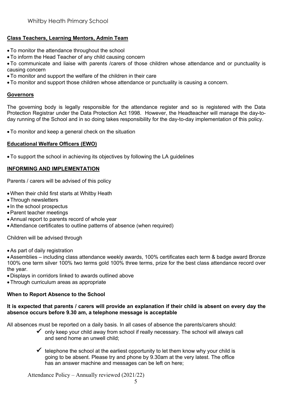# **Class Teachers, Learning Mentors, Admin Team**

- •To monitor the attendance throughout the school
- •To inform the Head Teacher of any child causing concern

•To communicate and liaise with parents /carers of those children whose attendance and or punctuality is causing concern

- •To monitor and support the welfare of the children in their care
- •To monitor and support those children whose attendance or punctuality is causing a concern.

#### **Governors**

The governing body is legally responsible for the attendance register and so is registered with the Data Protection Registrar under the Data Protection Act 1998. However, the Headteacher will manage the day-today running of the School and in so doing takes responsibility for the day-to-day implementation of this policy.

•To monitor and keep a general check on the situation

#### **Educational Welfare Officers (EWO)**

•To support the school in achieving its objectives by following the LA guidelines

# **INFORMING AND IMPLEMENTATION**

Parents / carers will be advised of this policy

- •When their child first starts at Whitby Heath
- •Through newsletters
- In the school prospectus
- •Parent teacher meetings
- •Annual report to parents record of whole year
- •Attendance certificates to outline patterns of absence (when required)

Children will be advised through

•As part of daily registration

•Assemblies – including class attendance weekly awards, 100% certificates each term & badge award Bronze 100% one term silver 100% two terms gold 100% three terms, prize for the best class attendance record over the year.

- •Displays in corridors linked to awards outlined above
- •Through curriculum areas as appropriate

#### **When to Report Absence to the School**

#### **It is expected that parents / carers will provide an explanation if their child is absent on every day the absence occurs before 9.30 am, a telephone message is acceptable**

All absences must be reported on a daily basis. In all cases of absence the parents/carers should:

- $\checkmark$  only keep your child away from school if really necessary. The school will always call and send home an unwell child;
- $\checkmark$  telephone the school at the earliest opportunity to let them know why your child is going to be absent. Please try and phone by 9.30am at the very latest. The office has an answer machine and messages can be left on here;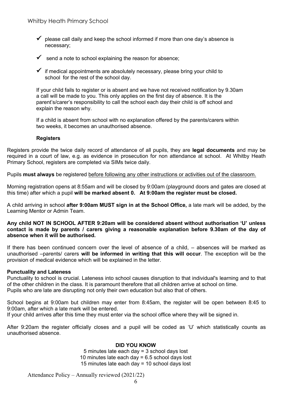- $\checkmark$  please call daily and keep the school informed if more than one day's absence is necessary;
- $\checkmark$  send a note to school explaining the reason for absence;
- $\checkmark$  if medical appointments are absolutely necessary, please bring your child to school for the rest of the school day.

If your child fails to register or is absent and we have not received notification by 9.30am a call will be made to you. This only applies on the first day of absence. It is the parent's/carer's responsibility to call the school each day their child is off school and explain the reason why.

If a child is absent from school with no explanation offered by the parents/carers within two weeks, it becomes an unauthorised absence.

#### **Registers**

Registers provide the twice daily record of attendance of all pupils, they are **legal documents** and may be required in a court of law, e.g. as evidence in prosecution for non attendance at school. At Whitby Heath Primary School, registers are completed via SIMs twice daily.

Pupils **must always** be registered before following any other instructions or activities out of the classroom.

Morning registration opens at 8:55am and will be closed by 9:00am (playground doors and gates are closed at this time) after which a pupil **will be marked absent 0. At 9:00am the register must be closed.**

A child arriving in school **after 9:00am MUST sign in at the School Office,** a late mark will be added, by the Learning Mentor or Admin Team.

**Any child NOT IN SCHOOL AFTER 9:20am will be considered absent without authorisation 'U' unless contact is made by parents / carers giving a reasonable explanation before 9.30am of the day of absence when it will be authorised.** 

If there has been continued concern over the level of absence of a child, – absences will be marked as unauthorised –parents/ carers **will be informed in writing that this will occur**. The exception will be the provision of medical evidence which will be explained in the letter.

#### **Punctuality and Lateness**

Punctuality to school is crucial. Lateness into school causes disruption to that individual's learning and to that of the other children in the class. It is paramount therefore that all children arrive at school on time. Pupils who are late are disrupting not only their own education but also that of others.

School begins at 9:00am but children may enter from 8:45am, the register will be open between 8:45 to 9:00am, after which a late mark will be entered.

If your child arrives after this time they must enter via the school office where they will be signed in.

After 9:20am the register officially closes and a pupil will be coded as 'U' which statistically counts as unauthorised absence.

#### **DID YOU KNOW**

5 minutes late each day = 3 school days lost 10 minutes late each day = 6.5 school days lost 15 minutes late each day = 10 school days lost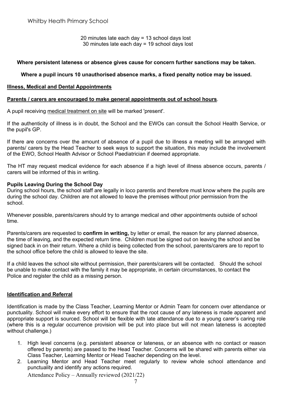20 minutes late each day = 13 school days lost 30 minutes late each day = 19 school days lost

#### **Where persistent lateness or absence gives cause for concern further sanctions may be taken.**

#### **Where a pupil incurs 10 unauthorised absence marks, a fixed penalty notice may be issued.**

#### **Illness, Medical and Dental Appointments**

#### **Parents / carers are encouraged to make general appointments out of school hours**.

A pupil receiving medical treatment on site will be marked 'present'.

If the authenticity of illness is in doubt, the School and the EWOs can consult the School Health Service, or the pupil's GP.

If there are concerns over the amount of absence of a pupil due to illness a meeting will be arranged with parents/ carers by the Head Teacher to seek ways to support the situation, this may include the involvement of the EWO, School Health Advisor or School Paediatrician if deemed appropriate.

The HT may request medical evidence for each absence if a high level of illness absence occurs, parents / carers will be informed of this in writing.

#### **Pupils Leaving During the School Day**

During school hours, the school staff are legally in loco parentis and therefore must know where the pupils are during the school day. Children are not allowed to leave the premises without prior permission from the school.

Whenever possible, parents/carers should try to arrange medical and other appointments outside of school time.

Parents/carers are requested to **confirm in writing,** by letter or email, the reason for any planned absence, the time of leaving, and the expected return time. Children must be signed out on leaving the school and be signed back in on their return. Where a child is being collected from the school, parents/carers are to report to the school office before the child is allowed to leave the site.

If a child leaves the school site without permission, their parents/carers will be contacted. Should the school be unable to make contact with the family it may be appropriate, in certain circumstances, to contact the Police and register the child as a missing person.

#### **Identification and Referral**

Identification is made by the Class Teacher, Learning Mentor or Admin Team for concern over attendance or punctuality. School will make every effort to ensure that the root cause of any lateness is made apparent and appropriate support is sourced. School will be flexible with late attendance due to a young carer's caring role (where this is a regular occurrence provision will be put into place but will not mean lateness is accepted without challenge.)

- 1. High level concerns (e.g. persistent absence or lateness, or an absence with no contact or reason offered by parents) are passed to the Head Teacher. Concerns will be shared with parents either via Class Teacher, Learning Mentor or Head Teacher depending on the level.
- 2. Learning Mentor and Head Teacher meet regularly to review whole school attendance and punctuality and identify any actions required.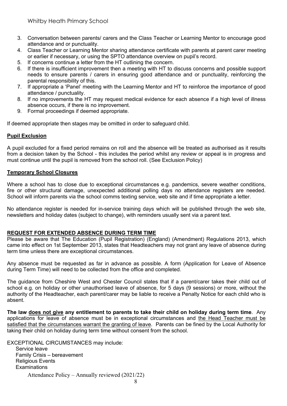- 3. Conversation between parents/ carers and the Class Teacher or Learning Mentor to encourage good attendance and or punctuality.
- 4. Class Teacher or Learning Mentor sharing attendance certificate with parents at parent carer meeting or earlier if necessary, or using the SPTO attendance overview on pupil's record.
- 5. If concerns continue a letter from the HT outlining the concern.
- 6. If there is insufficient improvement then a meeting with HT to discuss concerns and possible support needs to ensure parents / carers in ensuring good attendance and or punctuality, reinforcing the parental responsibility of this.
- 7. If appropriate a 'Panel' meeting with the Learning Mentor and HT to reinforce the importance of good attendance / punctuality.
- 8. If no improvements the HT may request medical evidence for each absence if a high level of illness absence occurs, if there is no improvement.
- 9. Formal proceedings if deemed appropriate.

If deemed appropriate then stages may be omitted in order to safeguard child.

#### **Pupil Exclusion**

A pupil excluded for a fixed period remains on roll and the absence will be treated as authorised as it results from a decision taken by the School - this includes the period whilst any review or appeal is in progress and must continue until the pupil is removed from the school roll. (See Exclusion Policy)

#### **Temporary School Closures**

Where a school has to close due to exceptional circumstances e.g. pandemics, severe weather conditions, fire or other structural damage, unexpected additional polling days no attendance registers are needed. School will inform parents via the school comms texting service, web site and if time appropriate a letter.

No attendance register is needed for in-service training days which will be published through the web site, newsletters and holiday dates (subject to change), with reminders usually sent via a parent text.

#### **REQUEST FOR EXTENDED ABSENCE DURING TERM TIME**

Please be aware that The Education (Pupil Registration) (England) (Amendment) Regulations 2013, which came into effect on 1st September 2013, states that Headteachers may not grant any leave of absence during term time unless there are exceptional circumstances.

Any absence must be requested as far in advance as possible. A form (Application for Leave of Absence during Term Time) will need to be collected from the office and completed.

The guidance from Cheshire West and Chester Council states that if a parent/carer takes their child out of school e.g. on holiday or other unauthorised leave of absence, for 5 days (9 sessions) or more, without the authority of the Headteacher, each parent/carer may be liable to receive a Penalty Notice for each child who is absent.

**The law does not give any entitlement to parents to take their child on holiday during term time**. Any applications for leave of absence must be in exceptional circumstances and the Head Teacher must be satisfied that the circumstances warrant the granting of leave. Parents can be fined by the Local Authority for taking their child on holiday during term time without consent from the school.

EXCEPTIONAL CIRCUMSTANCES may include:

Attendance Policy – Annually reviewed (2021/22) Service leave Family Crisis – bereavement Religious Events **Examinations**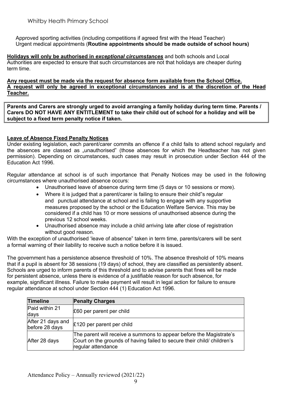Approved sporting activities (including competitions if agreed first with the Head Teacher) Urgent medical appointments (**Routine appointments should be made outside of school hours)**

**Holidays will only be authorised in** *exceptional circumstances* and both schools and Local Authorities are expected to ensure that such circumstances are not that holidays are cheaper during term time.

**Any request must be made via the request for absence form available from the School Office. A request will only be agreed in exceptional circumstances and is at the discretion of the Head Teacher.**

**Parents and Carers are strongly urged to avoid arranging a family holiday during term time. Parents / Carers DO NOT HAVE ANY ENTITLEMENT to take their child out of school for a holiday and will be subject to a fixed term penalty notice if taken.**

# **Leave of Absence Fixed Penalty Notices**

Under existing legislation, each parent/carer commits an offence if a child fails to attend school regularly and the absences are classed as "unauthorised" (those absences for which the Headteacher has not given permission). Depending on circumstances, such cases may result in prosecution under Section 444 of the Education Act 1996.

Regular attendance at school is of such importance that Penalty Notices may be used in the following circumstances where unauthorised absence occurs:

- Unauthorised leave of absence during term time (5 days or 10 sessions or more).
- Where it is judged that a parent/carer is failing to ensure their child"s regular and punctual attendance at school and is failing to engage with any supportive measures proposed by the school or the Education Welfare Service. This may be considered if a child has 10 or more sessions of unauthorised absence during the previous 12 school weeks.
- Unauthorised absence may include a child arriving late after close of registration without good reason.

With the exception of unauthorised 'leave of absence" taken in term time, parents/carers will be sent a formal warning of their liability to receive such a notice before it is issued.

The government has a persistence absence threshold of 10%. The absence threshold of 10% means that if a pupil is absent for 38 sessions (19 days) of school, they are classified as persistently absent. Schools are urged to inform parents of this threshold and to advise parents that fines will be made for persistent absence, unless there is evidence of a justifiable reason for such absence, for example, significant illness. Failure to make payment will result in legal action for failure to ensure regular attendance at school under Section 444 (1) Education Act 1996.

| <b>Timeline</b>                     | <b>Penalty Charges</b>                                                                                                                                              |
|-------------------------------------|---------------------------------------------------------------------------------------------------------------------------------------------------------------------|
| Paid within 21<br>days              | £60 per parent per child                                                                                                                                            |
| After 21 days and<br>before 28 days | £120 per parent per child                                                                                                                                           |
| After 28 days                       | The parent will receive a summons to appear before the Magistrate's<br>Court on the grounds of having failed to secure their child/children's<br>regular attendance |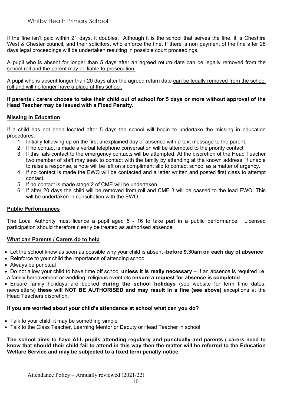If the fine isn't paid within 21 days, it doubles. Although it is the school that serves the fine, it is Cheshire West & Chester council, and their solicitors, who enforce the fine. If there is non payment of the fine after 28 days legal proceedings will be undertaken resulting in possible court proceedings.

A pupil who is absent for longer than 5 days after an agreed return date can be legally removed from the school roll and the parent may be liable to prosecution**.**

A pupil who is absent longer than 20 days after the agreed return date can be legally removed from the school roll and will no longer have a place at this school.

#### **If parents / carers choose to take their child out of school for 5 days or more without approval of the Head Teacher may be issued with a Fixed Penalty.**

# **Missing In Education**

If a child has not been located after 5 days the school will begin to undertake the missing in education procedures.

- 1. Initially following up on the first unexplained day of absence with a text message to the parent.
- 2. If no contact is made a verbal telephone conversation will be attempted to the priority contact
- 3. If this fails contact to the emergency contacts will be attempted. At the discretion of the Head Teacher two member of staff may seek to contact with the family by attending at the known address, if unable to raise a response, a note will be left on a compliment slip to contact school as a matter of urgency.
- 4. If no contact is made the EWO will be contacted and a letter written and posted first class to attempt contact.
- 5. If no contact is made stage 2 of CME will be undertaken
- 6. If after 20 days the child will be removed from roll and CME 3 will be passed to the lead EWO. This will be undertaken in consultation with the FWO.

# **Public Performances**

The Local Authority must licence a pupil aged 5 - 16 to take part in a public performance. Licensed participation should therefore clearly be treated as authorised absence.

# **What can Parents / Carers do to help**

- Let the school know as soon as possible why your child is absent -**before 9.30am on each day of absence**
- Reinforce to your child the importance of attending school
- Always be punctual
- Do not allow your child to have time off school **unless it is really necessary** If an absence is required i.e. a family bereavement or wedding, religious event etc **ensure a request for absence is completed**
- Ensure family holidays are booked **during the school holidays** (see website for term time dates, newsletters) **these will NOT BE AUTHORISED and may result in a fine (see above)** exceptions at the Head Teachers discretion.

#### **If you are worried about your child's attendance at school what can you do?**

- Talk to your child; it may be something simple
- Talk to the Class Teacher, Learning Mentor or Deputy or Head Teacher in school

**The school aims to have ALL pupils attending regularly and punctually and parents / carers need to know that should their child fail to attend in this way then the matter will be referred to the Education Welfare Service and may be subjected to a fixed term penalty notice.**